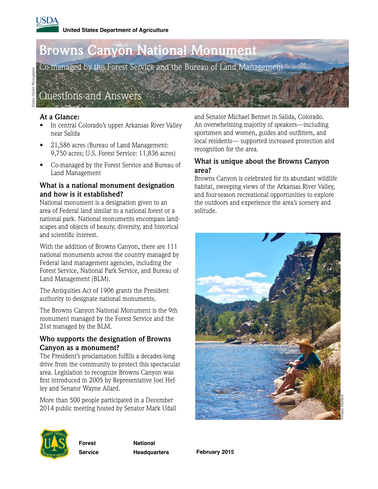# **Browns Canyon National Monument**

Co-managed by the Forest Service and the Bureau of Land Management

Questions and Answers

## **At a Glance:**

- In central Colorado's upper Arkansas River Valley near Salida
- 21,586 acres (Bureau of Land Management: 9,750 acres; U.S. Forest Service: 11,836 acres)
- Co-managed by the Forest Service and Bureau of Land Management

#### **What is a national monument designation and how is it established?**

National monument is a designation given to an area of Federal land similar to a national forest or a national park. National monuments encompass landscapes and objects of beauty, diversity, and historical and scientific interest.

With the addition of Browns Canyon, there are 111 national monuments across the country managed by Federal land management agencies, including the Forest Service, National Park Service, and Bureau of Land Management (BLM).

The Antiquities Act of 1906 grants the President authority to designate national monuments.

The Browns Canyon National Monument is the 9th monument managed by the Forest Service and the 21st managed by the BLM.

### **Who supports the designation of Browns Canyon as a monument?**

The President's proclamation fulfills a decades-long drive from the community to protect this spectacular area. Legislation to recognize Browns Canyon was first introduced in 2005 by Representative Joel Hefley and Senator Wayne Allard.

More than 500 people participated in a December 2014 public meeting hosted by Senator Mark Udall and Senator Michael Bennet in Salida, Colorado. An overwhelming majority of speakers—including sportsmen and women, guides and outfitters, and local residents— supported increased protection and recognition for the area.

## **What is unique about the Browns Canyon area?**

Browns Canyon is celebrated for its abundant wildlife habitat, sweeping views of the Arkansas River Valley, and four-season recreational opportunities to explore the outdoors and experience the area's scenery and solitude.





**Forest Service** 

**Headquarters** 

**National** 

**February 2015**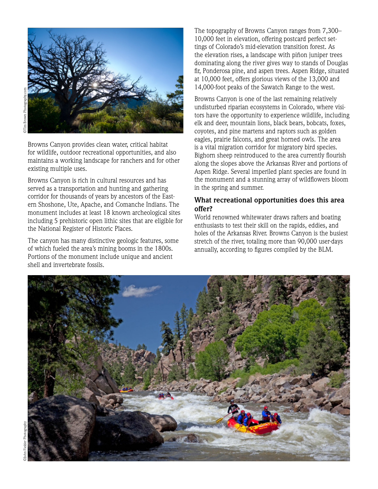

Browns Canyon provides clean water, critical habitat for wildlife, outdoor recreational opportunities, and also maintains a working landscape for ranchers and for other existing multiple uses.

Browns Canyon is rich in cultural resources and has served as a transportation and hunting and gathering corridor for thousands of years by ancestors of the Eastern Shoshone, Ute, Apache, and Comanche Indians. The monument includes at least 18 known archeological sites including 5 prehistoric open lithic sites that are eligible for the National Register of Historic Places.

The canyon has many distinctive geologic features, some of which fueled the area's mining booms in the 1800s. Portions of the monument include unique and ancient shell and invertebrate fossils.

The topography of Browns Canyon ranges from 7,300– 10,000 feet in elevation, offering postcard perfect settings of Colorado's mid-elevation transition forest. As the elevation rises, a landscape with piñon juniper trees dominating along the river gives way to stands of Douglas fir, Ponderosa pine, and aspen trees. Aspen Ridge, situated at 10,000 feet, offers glorious views of the 13,000 and 14,000-foot peaks of the Sawatch Range to the west.

Browns Canyon is one of the last remaining relatively undisturbed riparian ecosystems in Colorado, where visitors have the opportunity to experience wildlife, including elk and deer, mountain lions, black bears, bobcats, foxes, coyotes, and pine martens and raptors such as golden eagles, prairie falcons, and great horned owls. The area is a vital migration corridor for migratory bird species. Bighorn sheep reintroduced to the area currently flourish along the slopes above the Arkansas River and portions of Aspen Ridge. Several imperiled plant species are found in the monument and a stunning array of wildflowers bloom in the spring and summer.

#### **What recreational opportunities does this area offer?**

World renowned whitewater draws rafters and boating enthusiasts to test their skill on the rapids, eddies, and holes of the Arkansas River. Browns Canyon is the busiest stretch of the river, totaling more than 90,000 user-days annually, according to figures compiled by the BLM.

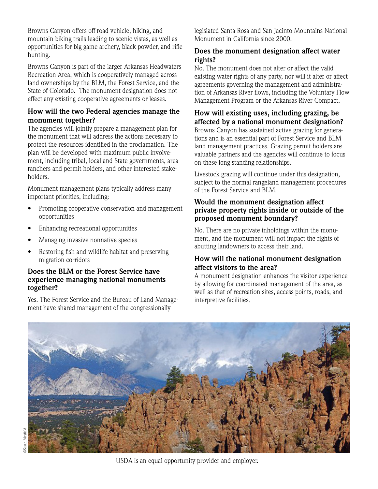Browns Canyon offers off-road vehicle, hiking, and mountain biking trails leading to scenic vistas, as well as opportunities for big game archery, black powder, and rifle hunting.

Browns Canyon is part of the larger Arkansas Headwaters Recreation Area, which is cooperatively managed across land ownerships by the BLM, the Forest Service, and the State of Colorado. The monument designation does not effect any existing cooperative agreements or leases.

## **How will the two Federal agencies manage the monument together?**

The agencies will jointly prepare a management plan for the monument that will address the actions necessary to protect the resources identified in the proclamation. The plan will be developed with maximum public involvement, including tribal, local and State governments, area ranchers and permit holders, and other interested stakeholders.

Monument management plans typically address many important priorities, including:

- Promoting cooperative conservation and management opportunities
- Enhancing recreational opportunities
- Managing invasive nonnative species
- Restoring fish and wildlife habitat and preserving migration corridors

#### **Does the BLM or the Forest Service have experience managing national monuments together?**

Yes. The Forest Service and the Bureau of Land Management have shared management of the congressionally

legislated Santa Rosa and San Jacinto Mountains National Monument in California since 2000.

## **Does the monument designation affect water rights?**

No. The monument does not alter or affect the valid existing water rights of any party, nor will it alter or affect agreements governing the management and administration of Arkansas River flows, including the Voluntary Flow Management Program or the Arkansas River Compact.

**How will existing uses, including grazing, be affected by a national monument designation?** Browns Canyon has sustained active grazing for generations and is an essential part of Forest Service and BLM land management practices. Grazing permit holders are valuable partners and the agencies will continue to focus on these long standing relationships.

Livestock grazing will continue under this designation, subject to the normal rangeland management procedures of the Forest Service and BLM.

#### **Would the monument designation affect private property rights inside or outside of the proposed monument boundary?**

No. There are no private inholdings within the monument, and the monument will not impact the rights of abutting landowners to access their land.

## **How will the national monument designation affect visitors to the area?**

A monument designation enhances the visitor experience by allowing for coordinated management of the area, as well as that of recreation sites, access points, roads, and interpretive facilities.



USDA is an equal opportunity provider and employer.